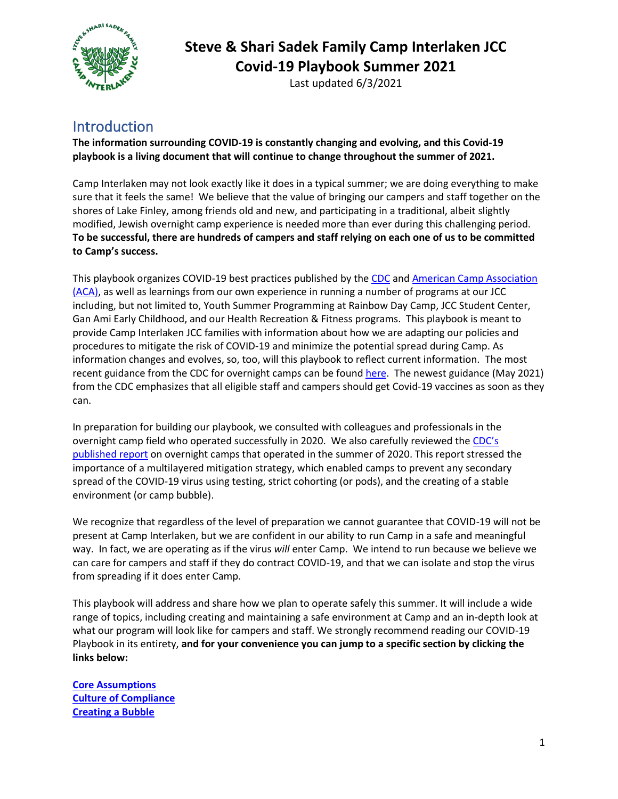

Last updated 6/3/2021

### Introduction

**The information surrounding COVID-19 is constantly changing and evolving, and this Covid-19 playbook is a living document that will continue to change throughout the summer of 2021.** 

Camp Interlaken may not look exactly like it does in a typical summer; we are doing everything to make sure that it feels the same! We believe that the value of bringing our campers and staff together on the shores of Lake Finley, among friends old and new, and participating in a traditional, albeit slightly modified, Jewish overnight camp experience is needed more than ever during this challenging period. **To be successful, there are hundreds of campers and staff relying on each one of us to be committed to Camp's success.**

This playbook organizes COVID-19 best practices published by the [CDC](https://www.cdc.gov/coronavirus/2019-ncov/index.html) an[d American Camp Association](https://www.acacamps.org/resource-library/coronavirus/camp-business/field-guide-camps)  [\(ACA\),](https://www.acacamps.org/resource-library/coronavirus/camp-business/field-guide-camps) as well as learnings from our own experience in running a number of programs at our JCC including, but not limited to, Youth Summer Programming at Rainbow Day Camp, JCC Student Center, Gan Ami Early Childhood, and our Health Recreation & Fitness programs. This playbook is meant to provide Camp Interlaken JCC families with information about how we are adapting our policies and procedures to mitigate the risk of COVID-19 and minimize the potential spread during Camp. As information changes and evolves, so, too, will this playbook to reflect current information. The most recent guidance from the CDC for overnight camps can be found [here.](https://www.cdc.gov/coronavirus/2019-ncov/community/schools-childcare/summer-camps.html) The newest guidance (May 2021) from the CDC emphasizes that all eligible staff and campers should get Covid-19 vaccines as soon as they can.

In preparation for building our playbook, we consulted with colleagues and professionals in the overnight camp field who operated successfully in 2020. We also carefully reviewed the [CDC's](https://www.cdc.gov/mmwr/volumes/69/wr/pdfs/mm6935e1-H.pdf)  [published report](https://www.cdc.gov/mmwr/volumes/69/wr/pdfs/mm6935e1-H.pdf) on overnight camps that operated in the summer of 2020. This report stressed the importance of a multilayered mitigation strategy, which enabled camps to prevent any secondary spread of the COVID-19 virus using testing, strict cohorting (or pods), and the creating of a stable environment (or camp bubble).

We recognize that regardless of the level of preparation we cannot guarantee that COVID-19 will not be present at Camp Interlaken, but we are confident in our ability to run Camp in a safe and meaningful way. In fact, we are operating as if the virus *will* enter Camp. We intend to run because we believe we can care for campers and staff if they do contract COVID-19, and that we can isolate and stop the virus from spreading if it does enter Camp.

This playbook will address and share how we plan to operate safely this summer. It will include a wide range of topics, including creating and maintaining a safe environment at Camp and an in-depth look at what our program will look like for campers and staff. We strongly recommend reading our COVID-19 Playbook in its entirety, **and for your convenience you can jump to a specific section by clicking the links below:**

**[Core Assumptions](#page-1-0) [Culture of Compliance](#page-2-0) [Creating a Bubble](#page-3-0)**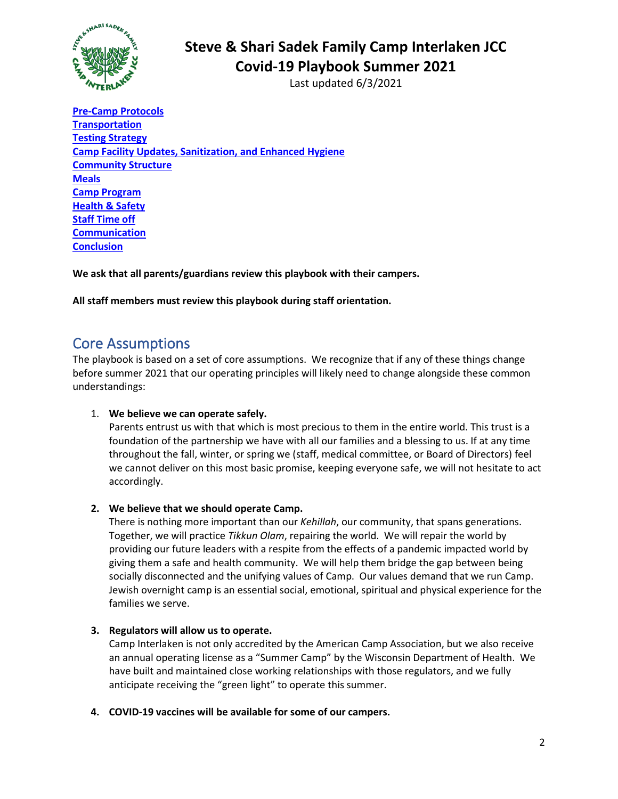

Last updated 6/3/2021

**[Pre-Camp Protocols](#page-3-1) [Transportation](#page-5-0) [Testing Strategy](#page-8-0) [Camp Facility Updates, Sanitization, and Enhanced Hygiene](#page-8-1) [Community Structure](#page-9-0) [Meals](#page-11-0) [Camp Program](#page-12-0) [Health & Safety](#page-13-0) [Staff Time off](#page-16-0) [Communication](#page-16-1) [Conclusion](#page-17-0)**

**We ask that all parents/guardians review this playbook with their campers.**

**All staff members must review this playbook during staff orientation.** 

### <span id="page-1-0"></span>Core Assumptions

The playbook is based on a set of core assumptions. We recognize that if any of these things change before summer 2021 that our operating principles will likely need to change alongside these common understandings:

#### 1. **We believe we can operate safely.**

Parents entrust us with that which is most precious to them in the entire world. This trust is a foundation of the partnership we have with all our families and a blessing to us. If at any time throughout the fall, winter, or spring we (staff, medical committee, or Board of Directors) feel we cannot deliver on this most basic promise, keeping everyone safe, we will not hesitate to act accordingly.

#### **2. We believe that we should operate Camp.**

There is nothing more important than our *Kehillah*, our community, that spans generations. Together, we will practice *Tikkun Olam*, repairing the world. We will repair the world by providing our future leaders with a respite from the effects of a pandemic impacted world by giving them a safe and health community. We will help them bridge the gap between being socially disconnected and the unifying values of Camp. Our values demand that we run Camp. Jewish overnight camp is an essential social, emotional, spiritual and physical experience for the families we serve.

#### **3. Regulators will allow us to operate.**

Camp Interlaken is not only accredited by the American Camp Association, but we also receive an annual operating license as a "Summer Camp" by the Wisconsin Department of Health. We have built and maintained close working relationships with those regulators, and we fully anticipate receiving the "green light" to operate this summer.

**4. COVID-19 vaccines will be available for some of our campers.**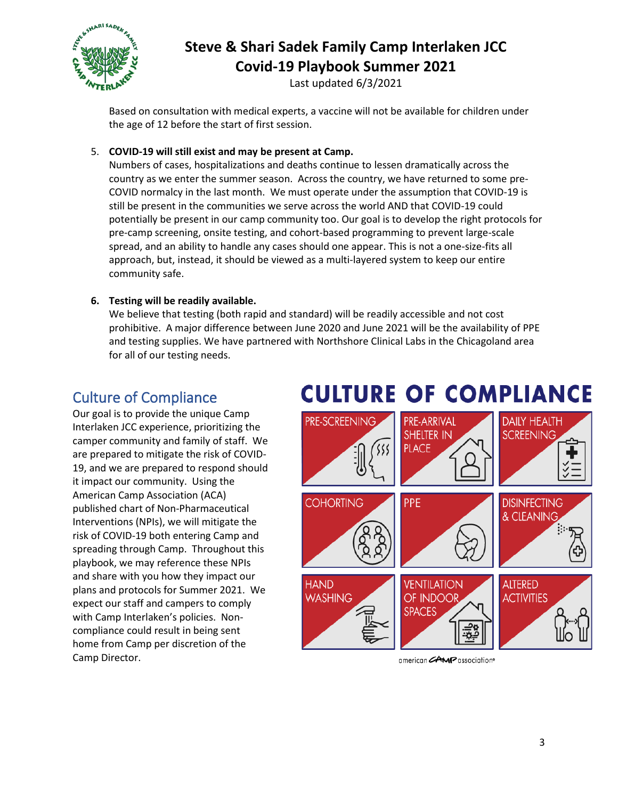

Last updated 6/3/2021

Based on consultation with medical experts, a vaccine will not be available for children under the age of 12 before the start of first session.

### 5. **COVID-19 will still exist and may be present at Camp.**

Numbers of cases, hospitalizations and deaths continue to lessen dramatically across the country as we enter the summer season. Across the country, we have returned to some pre-COVID normalcy in the last month. We must operate under the assumption that COVID-19 is still be present in the communities we serve across the world AND that COVID-19 could potentially be present in our camp community too. Our goal is to develop the right protocols for pre-camp screening, onsite testing, and cohort-based programming to prevent large-scale spread, and an ability to handle any cases should one appear. This is not a one-size-fits all approach, but, instead, it should be viewed as a multi-layered system to keep our entire community safe.

### **6. Testing will be readily available.**

We believe that testing (both rapid and standard) will be readily accessible and not cost prohibitive. A major difference between June 2020 and June 2021 will be the availability of PPE and testing supplies. We have partnered with Northshore Clinical Labs in the Chicagoland area for all of our testing needs.

# Culture of Compliance

<span id="page-2-0"></span>Our goal is to provide the unique Camp Interlaken JCC experience, prioritizing the camper community and family of staff. We are prepared to mitigate the risk of COVID-19, and we are prepared to respond should it impact our community. Using the American Camp Association (ACA) published chart of Non-Pharmaceutical Interventions (NPIs), we will mitigate the risk of COVID-19 both entering Camp and spreading through Camp. Throughout this playbook, we may reference these NPIs and share with you how they impact our plans and protocols for Summer 2021. We expect our staff and campers to comply with Camp Interlaken's policies. Noncompliance could result in being sent home from Camp per discretion of the Camp Director.

# **CULTURE OF COMPLIANCE**



american **AMP** association®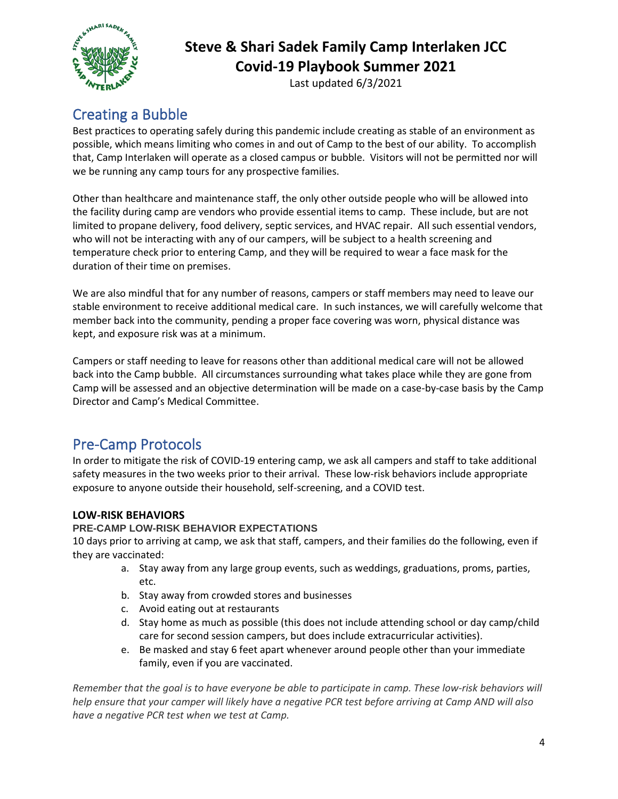

Last updated 6/3/2021

# <span id="page-3-0"></span>Creating a Bubble

Best practices to operating safely during this pandemic include creating as stable of an environment as possible, which means limiting who comes in and out of Camp to the best of our ability. To accomplish that, Camp Interlaken will operate as a closed campus or bubble. Visitors will not be permitted nor will we be running any camp tours for any prospective families.

Other than healthcare and maintenance staff, the only other outside people who will be allowed into the facility during camp are vendors who provide essential items to camp. These include, but are not limited to propane delivery, food delivery, septic services, and HVAC repair. All such essential vendors, who will not be interacting with any of our campers, will be subject to a health screening and temperature check prior to entering Camp, and they will be required to wear a face mask for the duration of their time on premises.

We are also mindful that for any number of reasons, campers or staff members may need to leave our stable environment to receive additional medical care. In such instances, we will carefully welcome that member back into the community, pending a proper face covering was worn, physical distance was kept, and exposure risk was at a minimum.

Campers or staff needing to leave for reasons other than additional medical care will not be allowed back into the Camp bubble. All circumstances surrounding what takes place while they are gone from Camp will be assessed and an objective determination will be made on a case-by-case basis by the Camp Director and Camp's Medical Committee.

# <span id="page-3-1"></span>Pre-Camp Protocols

In order to mitigate the risk of COVID-19 entering camp, we ask all campers and staff to take additional safety measures in the two weeks prior to their arrival. These low-risk behaviors include appropriate exposure to anyone outside their household, self-screening, and a COVID test.

### **LOW-RISK BEHAVIORS**

### **PRE-CAMP LOW-RISK BEHAVIOR EXPECTATIONS**

10 days prior to arriving at camp, we ask that staff, campers, and their families do the following, even if they are vaccinated:

- a. Stay away from any large group events, such as weddings, graduations, proms, parties, etc.
- b. Stay away from crowded stores and businesses
- c. Avoid eating out at restaurants
- d. Stay home as much as possible (this does not include attending school or day camp/child care for second session campers, but does include extracurricular activities).
- e. Be masked and stay 6 feet apart whenever around people other than your immediate family, even if you are vaccinated.

*Remember that the goal is to have everyone be able to participate in camp. These low-risk behaviors will help ensure that your camper will likely have a negative PCR test before arriving at Camp AND will also have a negative PCR test when we test at Camp.*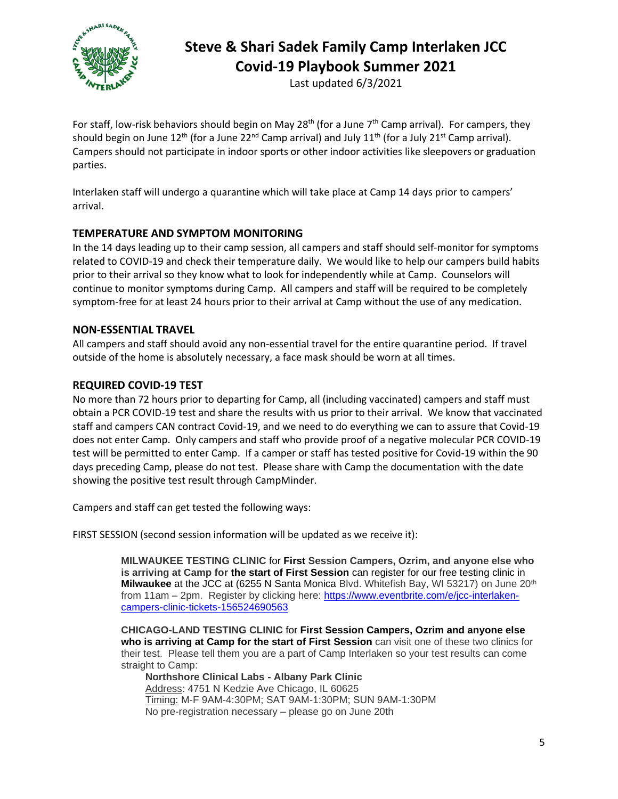

Last updated 6/3/2021

For staff, low-risk behaviors should begin on May 28<sup>th</sup> (for a June 7<sup>th</sup> Camp arrival). For campers, they should begin on June  $12^{th}$  (for a June  $22^{nd}$  Camp arrival) and July  $11^{th}$  (for a July  $21^{st}$  Camp arrival). Campers should not participate in indoor sports or other indoor activities like sleepovers or graduation parties.

Interlaken staff will undergo a quarantine which will take place at Camp 14 days prior to campers' arrival.

### **TEMPERATURE AND SYMPTOM MONITORING**

In the 14 days leading up to their camp session, all campers and staff should self-monitor for symptoms related to COVID-19 and check their temperature daily. We would like to help our campers build habits prior to their arrival so they know what to look for independently while at Camp. Counselors will continue to monitor symptoms during Camp. All campers and staff will be required to be completely symptom-free for at least 24 hours prior to their arrival at Camp without the use of any medication.

#### **NON-ESSENTIAL TRAVEL**

All campers and staff should avoid any non-essential travel for the entire quarantine period. If travel outside of the home is absolutely necessary, a face mask should be worn at all times.

#### **REQUIRED COVID-19 TEST**

No more than 72 hours prior to departing for Camp, all (including vaccinated) campers and staff must obtain a PCR COVID-19 test and share the results with us prior to their arrival. We know that vaccinated staff and campers CAN contract Covid-19, and we need to do everything we can to assure that Covid-19 does not enter Camp. Only campers and staff who provide proof of a negative molecular PCR COVID-19 test will be permitted to enter Camp. If a camper or staff has tested positive for Covid-19 within the 90 days preceding Camp, please do not test. Please share with Camp the documentation with the date showing the positive test result through CampMinder.

Campers and staff can get tested the following ways:

FIRST SESSION (second session information will be updated as we receive it):

**MILWAUKEE TESTING CLINIC** for **First Session Campers, Ozrim, and anyone else who is arriving at Camp for the start of First Session** can register for our free testing clinic in **Milwaukee** at the JCC at (6255 N Santa Monica Blvd. Whitefish Bay, WI 53217) on June 20th from 11am – 2pm. Register by clicking here: [https://www.eventbrite.com/e/jcc-interlaken](https://www.eventbrite.com/e/jcc-interlaken-campers-clinic-tickets-156524690563)[campers-clinic-tickets-156524690563](https://www.eventbrite.com/e/jcc-interlaken-campers-clinic-tickets-156524690563)

**CHICAGO-LAND TESTING CLINIC** for **First Session Campers, Ozrim and anyone else who is arriving at Camp for the start of First Session** can visit one of these two clinics for their test. Please tell them you are a part of Camp Interlaken so your test results can come straight to Camp:

**Northshore Clinical Labs - Albany Park Clinic** Address: 4751 N Kedzie Ave Chicago, IL 60625 Timing: M-F 9AM-4:30PM; SAT 9AM-1:30PM; SUN 9AM-1:30PM No pre-registration necessary – please go on June 20th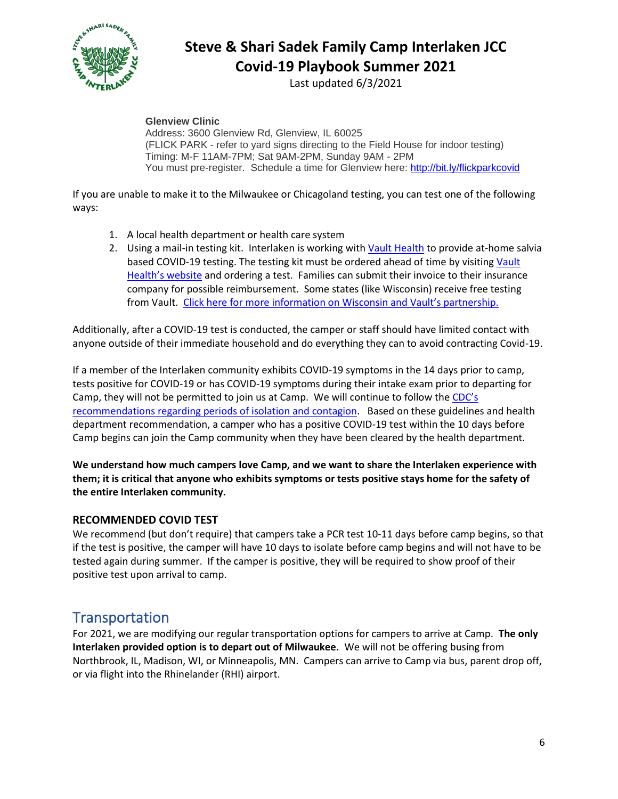

Last updated 6/3/2021

**Glenview Clinic**

Address: 3600 Glenview Rd, Glenview, IL 60025 (FLICK PARK - refer to yard signs directing to the Field House for indoor testing) Timing: M-F 11AM-7PM; Sat 9AM-2PM, Sunday 9AM - 2PM You must pre-register. Schedule a time for Glenview here:<http://bit.ly/flickparkcovid>

If you are unable to make it to the Milwaukee or Chicagoland testing, you can test one of the following ways:

- 1. A local health department or health care system
- 2. Using a mail-in testing kit. Interlaken is working wit[h Vault Health](https://www.vaulthealth.com/covid) to provide at-home salvia based COVID-19 testing. The testing kit must be ordered ahead of time by visiting [Vault](https://www.vaulthealth.com/covid)  [Health's website](https://www.vaulthealth.com/covid) and ordering a test. Families can submit their invoice to their insurance company for possible reimbursement. Some states (like Wisconsin) receive free testing from Vault. [Click here for more information on Wisconsin and Vault's partnership.](https://learn.vaulthealth.com/Wisconsin/)

Additionally, after a COVID-19 test is conducted, the camper or staff should have limited contact with anyone outside of their immediate household and do everything they can to avoid contracting Covid-19.

If a member of the Interlaken community exhibits COVID-19 symptoms in the 14 days prior to camp, tests positive for COVID-19 or has COVID-19 symptoms during their intake exam prior to departing for Camp, they will not be permitted to join us at Camp. We will continue to follow the CDC's [recommendations regarding periods of isolation and contagion.](https://www.cdc.gov/coronavirus/2019-ncov/if-you-are-sick/end-home-isolation.html) Based on these guidelines and health department recommendation, a camper who has a positive COVID-19 test within the 10 days before Camp begins can join the Camp community when they have been cleared by the health department.

**We understand how much campers love Camp, and we want to share the Interlaken experience with them; it is critical that anyone who exhibits symptoms or tests positive stays home for the safety of the entire Interlaken community.** 

#### **RECOMMENDED COVID TEST**

We recommend (but don't require) that campers take a PCR test 10-11 days before camp begins, so that if the test is positive, the camper will have 10 days to isolate before camp begins and will not have to be tested again during summer. If the camper is positive, they will be required to show proof of their positive test upon arrival to camp.

### <span id="page-5-0"></span>**Transportation**

For 2021, we are modifying our regular transportation options for campers to arrive at Camp. **The only Interlaken provided option is to depart out of Milwaukee.** We will not be offering busing from Northbrook, IL, Madison, WI, or Minneapolis, MN. Campers can arrive to Camp via bus, parent drop off, or via flight into the Rhinelander (RHI) airport.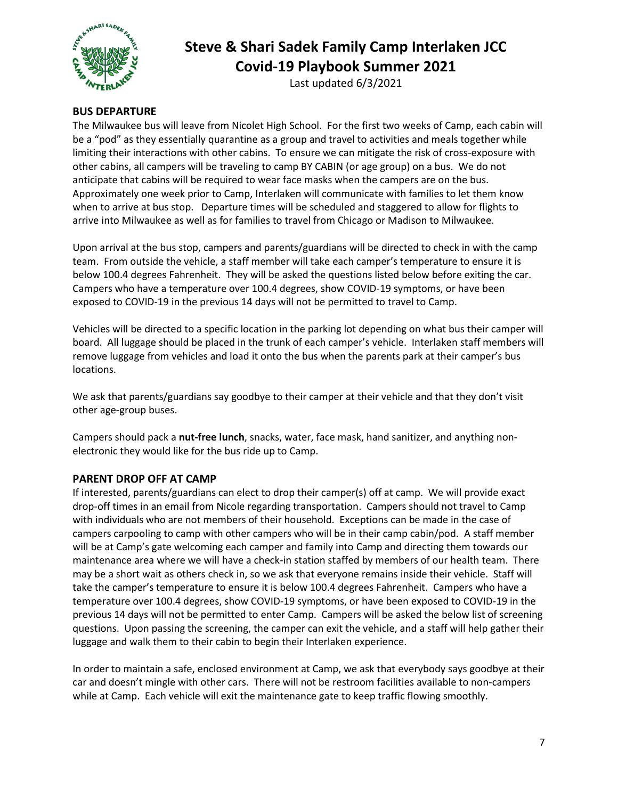

Last updated 6/3/2021

#### **BUS DEPARTURE**

The Milwaukee bus will leave from Nicolet High School. For the first two weeks of Camp, each cabin will be a "pod" as they essentially quarantine as a group and travel to activities and meals together while limiting their interactions with other cabins. To ensure we can mitigate the risk of cross-exposure with other cabins, all campers will be traveling to camp BY CABIN (or age group) on a bus. We do not anticipate that cabins will be required to wear face masks when the campers are on the bus. Approximately one week prior to Camp, Interlaken will communicate with families to let them know when to arrive at bus stop. Departure times will be scheduled and staggered to allow for flights to arrive into Milwaukee as well as for families to travel from Chicago or Madison to Milwaukee.

Upon arrival at the bus stop, campers and parents/guardians will be directed to check in with the camp team. From outside the vehicle, a staff member will take each camper's temperature to ensure it is below 100.4 degrees Fahrenheit. They will be asked the questions listed below before exiting the car. Campers who have a temperature over 100.4 degrees, show COVID-19 symptoms, or have been exposed to COVID-19 in the previous 14 days will not be permitted to travel to Camp.

Vehicles will be directed to a specific location in the parking lot depending on what bus their camper will board. All luggage should be placed in the trunk of each camper's vehicle. Interlaken staff members will remove luggage from vehicles and load it onto the bus when the parents park at their camper's bus locations.

We ask that parents/guardians say goodbye to their camper at their vehicle and that they don't visit other age-group buses.

Campers should pack a **nut-free lunch**, snacks, water, face mask, hand sanitizer, and anything nonelectronic they would like for the bus ride up to Camp.

#### **PARENT DROP OFF AT CAMP**

If interested, parents/guardians can elect to drop their camper(s) off at camp. We will provide exact drop-off times in an email from Nicole regarding transportation. Campers should not travel to Camp with individuals who are not members of their household. Exceptions can be made in the case of campers carpooling to camp with other campers who will be in their camp cabin/pod. A staff member will be at Camp's gate welcoming each camper and family into Camp and directing them towards our maintenance area where we will have a check-in station staffed by members of our health team. There may be a short wait as others check in, so we ask that everyone remains inside their vehicle. Staff will take the camper's temperature to ensure it is below 100.4 degrees Fahrenheit. Campers who have a temperature over 100.4 degrees, show COVID-19 symptoms, or have been exposed to COVID-19 in the previous 14 days will not be permitted to enter Camp. Campers will be asked the below list of screening questions. Upon passing the screening, the camper can exit the vehicle, and a staff will help gather their luggage and walk them to their cabin to begin their Interlaken experience.

In order to maintain a safe, enclosed environment at Camp, we ask that everybody says goodbye at their car and doesn't mingle with other cars. There will not be restroom facilities available to non-campers while at Camp. Each vehicle will exit the maintenance gate to keep traffic flowing smoothly.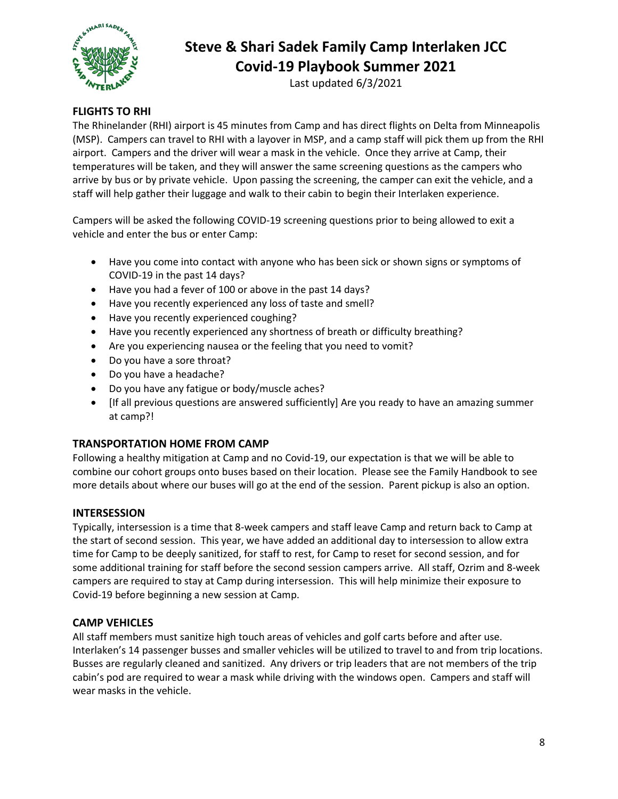

Last updated 6/3/2021

### **FLIGHTS TO RHI**

The Rhinelander (RHI) airport is 45 minutes from Camp and has direct flights on Delta from Minneapolis (MSP). Campers can travel to RHI with a layover in MSP, and a camp staff will pick them up from the RHI airport. Campers and the driver will wear a mask in the vehicle. Once they arrive at Camp, their temperatures will be taken, and they will answer the same screening questions as the campers who arrive by bus or by private vehicle. Upon passing the screening, the camper can exit the vehicle, and a staff will help gather their luggage and walk to their cabin to begin their Interlaken experience.

Campers will be asked the following COVID-19 screening questions prior to being allowed to exit a vehicle and enter the bus or enter Camp:

- Have you come into contact with anyone who has been sick or shown signs or symptoms of COVID-19 in the past 14 days?
- Have you had a fever of 100 or above in the past 14 days?
- Have you recently experienced any loss of taste and smell?
- Have you recently experienced coughing?
- Have you recently experienced any shortness of breath or difficulty breathing?
- Are you experiencing nausea or the feeling that you need to vomit?
- Do you have a sore throat?
- Do you have a headache?
- Do you have any fatigue or body/muscle aches?
- [If all previous questions are answered sufficiently] Are you ready to have an amazing summer at camp?!

### **TRANSPORTATION HOME FROM CAMP**

Following a healthy mitigation at Camp and no Covid-19, our expectation is that we will be able to combine our cohort groups onto buses based on their location. Please see the Family Handbook to see more details about where our buses will go at the end of the session. Parent pickup is also an option.

#### **INTERSESSION**

Typically, intersession is a time that 8-week campers and staff leave Camp and return back to Camp at the start of second session. This year, we have added an additional day to intersession to allow extra time for Camp to be deeply sanitized, for staff to rest, for Camp to reset for second session, and for some additional training for staff before the second session campers arrive. All staff, Ozrim and 8-week campers are required to stay at Camp during intersession. This will help minimize their exposure to Covid-19 before beginning a new session at Camp.

### **CAMP VEHICLES**

All staff members must sanitize high touch areas of vehicles and golf carts before and after use. Interlaken's 14 passenger busses and smaller vehicles will be utilized to travel to and from trip locations. Busses are regularly cleaned and sanitized. Any drivers or trip leaders that are not members of the trip cabin's pod are required to wear a mask while driving with the windows open. Campers and staff will wear masks in the vehicle.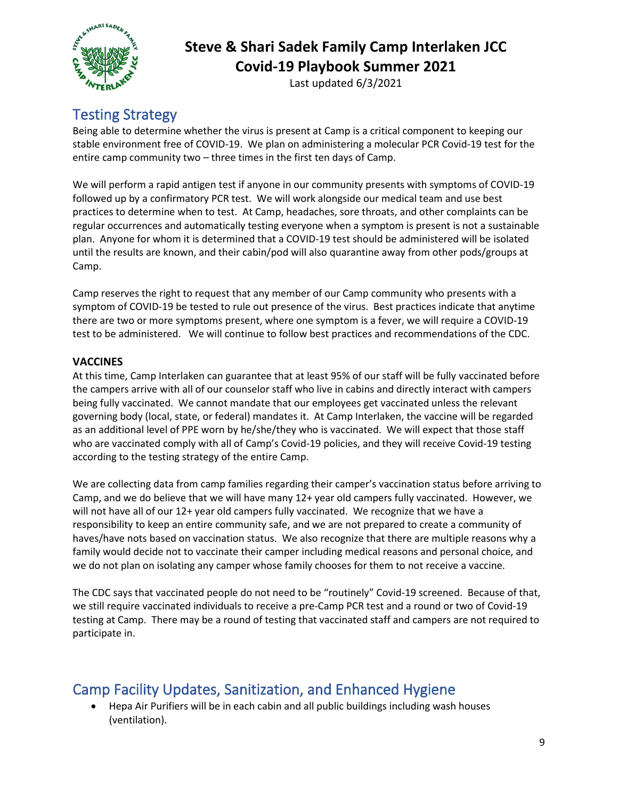

Last updated 6/3/2021

# <span id="page-8-0"></span>Testing Strategy

Being able to determine whether the virus is present at Camp is a critical component to keeping our stable environment free of COVID-19. We plan on administering a molecular PCR Covid-19 test for the entire camp community two – three times in the first ten days of Camp.

We will perform a rapid antigen test if anyone in our community presents with symptoms of COVID-19 followed up by a confirmatory PCR test. We will work alongside our medical team and use best practices to determine when to test. At Camp, headaches, sore throats, and other complaints can be regular occurrences and automatically testing everyone when a symptom is present is not a sustainable plan. Anyone for whom it is determined that a COVID-19 test should be administered will be isolated until the results are known, and their cabin/pod will also quarantine away from other pods/groups at Camp.

Camp reserves the right to request that any member of our Camp community who presents with a symptom of COVID-19 be tested to rule out presence of the virus. Best practices indicate that anytime there are two or more symptoms present, where one symptom is a fever, we will require a COVID-19 test to be administered. We will continue to follow best practices and recommendations of the CDC.

### **VACCINES**

At this time, Camp Interlaken can guarantee that at least 95% of our staff will be fully vaccinated before the campers arrive with all of our counselor staff who live in cabins and directly interact with campers being fully vaccinated. We cannot mandate that our employees get vaccinated unless the relevant governing body (local, state, or federal) mandates it. At Camp Interlaken, the vaccine will be regarded as an additional level of PPE worn by he/she/they who is vaccinated. We will expect that those staff who are vaccinated comply with all of Camp's Covid-19 policies, and they will receive Covid-19 testing according to the testing strategy of the entire Camp.

We are collecting data from camp families regarding their camper's vaccination status before arriving to Camp, and we do believe that we will have many 12+ year old campers fully vaccinated. However, we will not have all of our 12+ year old campers fully vaccinated. We recognize that we have a responsibility to keep an entire community safe, and we are not prepared to create a community of haves/have nots based on vaccination status. We also recognize that there are multiple reasons why a family would decide not to vaccinate their camper including medical reasons and personal choice, and we do not plan on isolating any camper whose family chooses for them to not receive a vaccine.

The CDC says that vaccinated people do not need to be "routinely" Covid-19 screened. Because of that, we still require vaccinated individuals to receive a pre-Camp PCR test and a round or two of Covid-19 testing at Camp. There may be a round of testing that vaccinated staff and campers are not required to participate in.

# <span id="page-8-1"></span>Camp Facility Updates, Sanitization, and Enhanced Hygiene

• Hepa Air Purifiers will be in each cabin and all public buildings including wash houses (ventilation).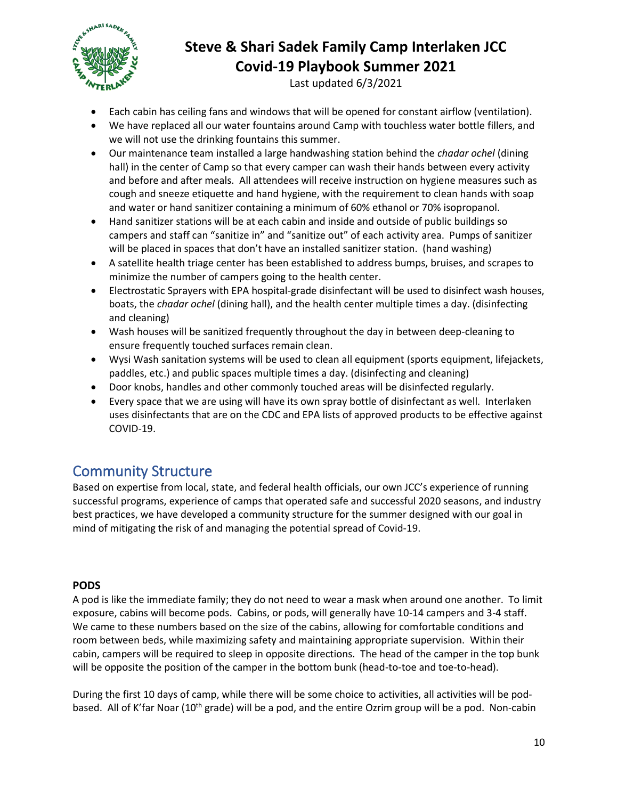

Last updated 6/3/2021

- Each cabin has ceiling fans and windows that will be opened for constant airflow (ventilation).
- We have replaced all our water fountains around Camp with touchless water bottle fillers, and we will not use the drinking fountains this summer.
- Our maintenance team installed a large handwashing station behind the *chadar ochel* (dining hall) in the center of Camp so that every camper can wash their hands between every activity and before and after meals. All attendees will receive instruction on hygiene measures such as cough and sneeze etiquette and hand hygiene, with the requirement to clean hands with soap and water or hand sanitizer containing a minimum of 60% ethanol or 70% isopropanol.
- Hand sanitizer stations will be at each cabin and inside and outside of public buildings so campers and staff can "sanitize in" and "sanitize out" of each activity area. Pumps of sanitizer will be placed in spaces that don't have an installed sanitizer station. (hand washing)
- A satellite health triage center has been established to address bumps, bruises, and scrapes to minimize the number of campers going to the health center.
- Electrostatic Sprayers with EPA hospital-grade disinfectant will be used to disinfect wash houses, boats, the *chadar ochel* (dining hall), and the health center multiple times a day. (disinfecting and cleaning)
- Wash houses will be sanitized frequently throughout the day in between deep-cleaning to ensure frequently touched surfaces remain clean.
- Wysi Wash sanitation systems will be used to clean all equipment (sports equipment, lifejackets, paddles, etc.) and public spaces multiple times a day. (disinfecting and cleaning)
- Door knobs, handles and other commonly touched areas will be disinfected regularly.
- Every space that we are using will have its own spray bottle of disinfectant as well. Interlaken uses disinfectants that are on the CDC and EPA lists of approved products to be effective against COVID-19.

# <span id="page-9-0"></span>Community Structure

Based on expertise from local, state, and federal health officials, our own JCC's experience of running successful programs, experience of camps that operated safe and successful 2020 seasons, and industry best practices, we have developed a community structure for the summer designed with our goal in mind of mitigating the risk of and managing the potential spread of Covid-19.

### **PODS**

A pod is like the immediate family; they do not need to wear a mask when around one another. To limit exposure, cabins will become pods. Cabins, or pods, will generally have 10-14 campers and 3-4 staff. We came to these numbers based on the size of the cabins, allowing for comfortable conditions and room between beds, while maximizing safety and maintaining appropriate supervision. Within their cabin, campers will be required to sleep in opposite directions. The head of the camper in the top bunk will be opposite the position of the camper in the bottom bunk (head-to-toe and toe-to-head).

During the first 10 days of camp, while there will be some choice to activities, all activities will be podbased. All of K'far Noar (10<sup>th</sup> grade) will be a pod, and the entire Ozrim group will be a pod. Non-cabin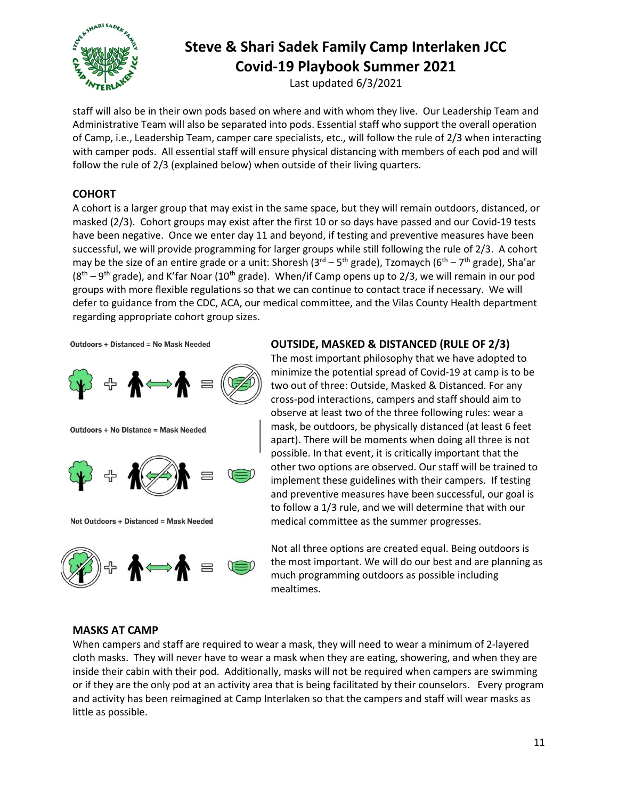

Last updated 6/3/2021

staff will also be in their own pods based on where and with whom they live. Our Leadership Team and Administrative Team will also be separated into pods. Essential staff who support the overall operation of Camp, i.e., Leadership Team, camper care specialists, etc., will follow the rule of 2/3 when interacting with camper pods. All essential staff will ensure physical distancing with members of each pod and will follow the rule of 2/3 (explained below) when outside of their living quarters.

### **COHORT**

A cohort is a larger group that may exist in the same space, but they will remain outdoors, distanced, or masked (2/3). Cohort groups may exist after the first 10 or so days have passed and our Covid-19 tests have been negative. Once we enter day 11 and beyond, if testing and preventive measures have been successful, we will provide programming for larger groups while still following the rule of 2/3. A cohort may be the size of an entire grade or a unit: Shoresh (3<sup>rd</sup> – 5<sup>th</sup> grade), Tzomaych (6<sup>th</sup> – 7<sup>th</sup> grade), Sha'ar  $(8<sup>th</sup> - 9<sup>th</sup>$  grade), and K'far Noar (10<sup>th</sup> grade). When/if Camp opens up to 2/3, we will remain in our pod groups with more flexible regulations so that we can continue to contact trace if necessary. We will defer to guidance from the CDC, ACA, our medical committee, and the Vilas County Health department regarding appropriate cohort group sizes.

**Outdoors + Distanced = No Mask Needed** 



**Outdoors + No Distance = Mask Needed** 



Not Outdoors + Distanced = Mask Needed



### **OUTSIDE, MASKED & DISTANCED (RULE OF 2/3)**

The most important philosophy that we have adopted to minimize the potential spread of Covid-19 at camp is to be two out of three: Outside, Masked & Distanced. For any cross-pod interactions, campers and staff should aim to observe at least two of the three following rules: wear a mask, be outdoors, be physically distanced (at least 6 feet apart). There will be moments when doing all three is not possible. In that event, it is critically important that the other two options are observed. Our staff will be trained to implement these guidelines with their campers. If testing and preventive measures have been successful, our goal is to follow a 1/3 rule, and we will determine that with our medical committee as the summer progresses.

Not all three options are created equal. Being outdoors is the most important. We will do our best and are planning as much programming outdoors as possible including mealtimes.

#### **MASKS AT CAMP**

When campers and staff are required to wear a mask, they will need to wear a minimum of 2-layered cloth masks. They will never have to wear a mask when they are eating, showering, and when they are inside their cabin with their pod. Additionally, masks will not be required when campers are swimming or if they are the only pod at an activity area that is being facilitated by their counselors. Every program and activity has been reimagined at Camp Interlaken so that the campers and staff will wear masks as little as possible.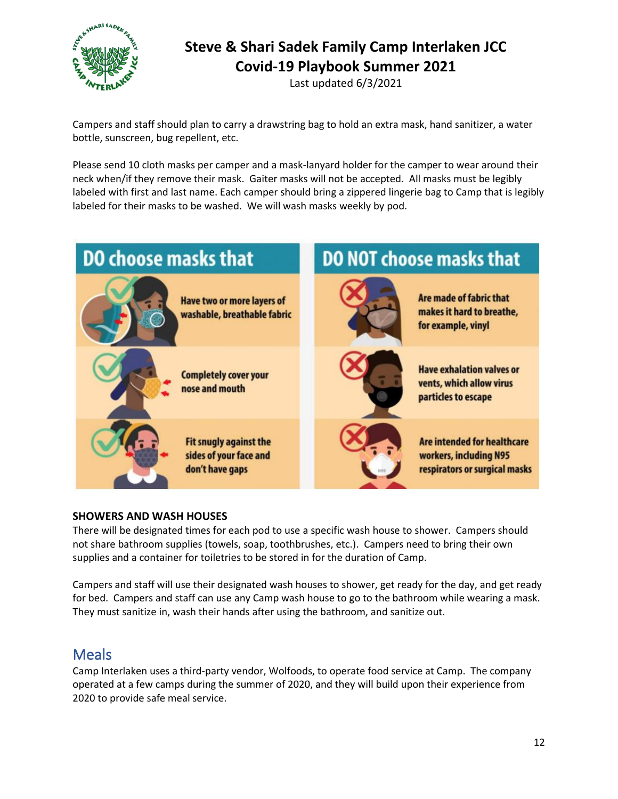

Last updated 6/3/2021

Campers and staff should plan to carry a drawstring bag to hold an extra mask, hand sanitizer, a water bottle, sunscreen, bug repellent, etc.

Please send 10 cloth masks per camper and a mask-lanyard holder for the camper to wear around their neck when/if they remove their mask. Gaiter masks will not be accepted. All masks must be legibly labeled with first and last name. Each camper should bring a zippered lingerie bag to Camp that is legibly labeled for their masks to be washed. We will wash masks weekly by pod.



#### **SHOWERS AND WASH HOUSES**

There will be designated times for each pod to use a specific wash house to shower. Campers should not share bathroom supplies (towels, soap, toothbrushes, etc.). Campers need to bring their own supplies and a container for toiletries to be stored in for the duration of Camp.

Campers and staff will use their designated wash houses to shower, get ready for the day, and get ready for bed. Campers and staff can use any Camp wash house to go to the bathroom while wearing a mask. They must sanitize in, wash their hands after using the bathroom, and sanitize out.

### <span id="page-11-0"></span>**Meals**

Camp Interlaken uses a third-party vendor, Wolfoods, to operate food service at Camp. The company operated at a few camps during the summer of 2020, and they will build upon their experience from 2020 to provide safe meal service.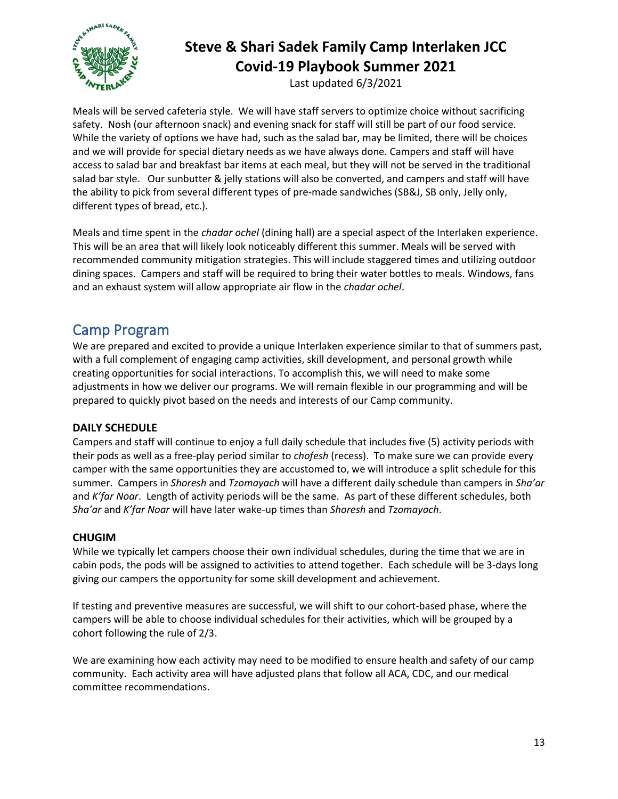

Last updated 6/3/2021

Meals will be served cafeteria style. We will have staff servers to optimize choice without sacrificing safety. Nosh (our afternoon snack) and evening snack for staff will still be part of our food service. While the variety of options we have had, such as the salad bar, may be limited, there will be choices and we will provide for special dietary needs as we have always done. Campers and staff will have access to salad bar and breakfast bar items at each meal, but they will not be served in the traditional salad bar style. Our sunbutter & jelly stations will also be converted, and campers and staff will have the ability to pick from several different types of pre-made sandwiches (SB&J, SB only, Jelly only, different types of bread, etc.).

Meals and time spent in the *chadar ochel* (dining hall) are a special aspect of the Interlaken experience. This will be an area that will likely look noticeably different this summer. Meals will be served with recommended community mitigation strategies. This will include staggered times and utilizing outdoor dining spaces. Campers and staff will be required to bring their water bottles to meals. Windows, fans and an exhaust system will allow appropriate air flow in the *chadar ochel*.

# <span id="page-12-0"></span>Camp Program

We are prepared and excited to provide a unique Interlaken experience similar to that of summers past, with a full complement of engaging camp activities, skill development, and personal growth while creating opportunities for social interactions. To accomplish this, we will need to make some adjustments in how we deliver our programs. We will remain flexible in our programming and will be prepared to quickly pivot based on the needs and interests of our Camp community.

### **DAILY SCHEDULE**

Campers and staff will continue to enjoy a full daily schedule that includes five (5) activity periods with their pods as well as a free-play period similar to *chofesh* (recess). To make sure we can provide every camper with the same opportunities they are accustomed to, we will introduce a split schedule for this summer. Campers in *Shoresh* and *Tzomayach* will have a different daily schedule than campers in *Sha'ar* and *K'far Noar*. Length of activity periods will be the same. As part of these different schedules, both *Sha'ar* and *K'far Noar* will have later wake-up times than *Shoresh* and *Tzomayach*.

### **CHUGIM**

While we typically let campers choose their own individual schedules, during the time that we are in cabin pods, the pods will be assigned to activities to attend together. Each schedule will be 3-days long giving our campers the opportunity for some skill development and achievement.

If testing and preventive measures are successful, we will shift to our cohort-based phase, where the campers will be able to choose individual schedules for their activities, which will be grouped by a cohort following the rule of 2/3.

We are examining how each activity may need to be modified to ensure health and safety of our camp community. Each activity area will have adjusted plans that follow all ACA, CDC, and our medical committee recommendations.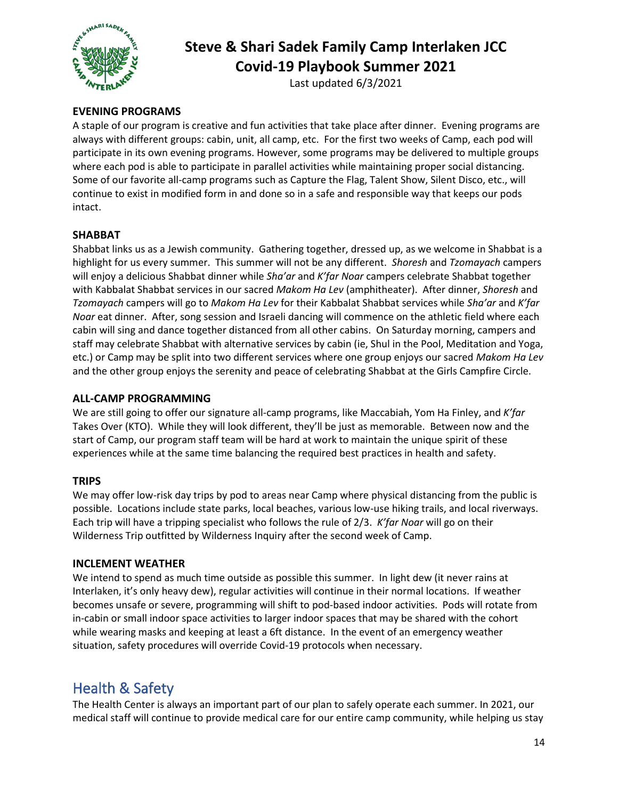

Last updated 6/3/2021

### **EVENING PROGRAMS**

A staple of our program is creative and fun activities that take place after dinner. Evening programs are always with different groups: cabin, unit, all camp, etc. For the first two weeks of Camp, each pod will participate in its own evening programs. However, some programs may be delivered to multiple groups where each pod is able to participate in parallel activities while maintaining proper social distancing. Some of our favorite all-camp programs such as Capture the Flag, Talent Show, Silent Disco, etc., will continue to exist in modified form in and done so in a safe and responsible way that keeps our pods intact.

### **SHABBAT**

Shabbat links us as a Jewish community. Gathering together, dressed up, as we welcome in Shabbat is a highlight for us every summer. This summer will not be any different. *Shoresh* and *Tzomayach* campers will enjoy a delicious Shabbat dinner while *Sha'ar* and *K'far Noar* campers celebrate Shabbat together with Kabbalat Shabbat services in our sacred *Makom Ha Lev* (amphitheater). After dinner, *Shoresh* and *Tzomayach* campers will go to *Makom Ha Lev* for their Kabbalat Shabbat services while *Sha'ar* and *K'far Noar* eat dinner. After, song session and Israeli dancing will commence on the athletic field where each cabin will sing and dance together distanced from all other cabins. On Saturday morning, campers and staff may celebrate Shabbat with alternative services by cabin (ie, Shul in the Pool, Meditation and Yoga, etc.) or Camp may be split into two different services where one group enjoys our sacred *Makom Ha Lev* and the other group enjoys the serenity and peace of celebrating Shabbat at the Girls Campfire Circle.

### **ALL-CAMP PROGRAMMING**

We are still going to offer our signature all-camp programs, like Maccabiah, Yom Ha Finley, and *K'far*  Takes Over (KTO). While they will look different, they'll be just as memorable. Between now and the start of Camp, our program staff team will be hard at work to maintain the unique spirit of these experiences while at the same time balancing the required best practices in health and safety.

#### **TRIPS**

We may offer low-risk day trips by pod to areas near Camp where physical distancing from the public is possible. Locations include state parks, local beaches, various low-use hiking trails, and local riverways. Each trip will have a tripping specialist who follows the rule of 2/3. *K'far Noar* will go on their Wilderness Trip outfitted by Wilderness Inquiry after the second week of Camp.

#### **INCLEMENT WEATHER**

We intend to spend as much time outside as possible this summer. In light dew (it never rains at Interlaken, it's only heavy dew), regular activities will continue in their normal locations. If weather becomes unsafe or severe, programming will shift to pod-based indoor activities. Pods will rotate from in-cabin or small indoor space activities to larger indoor spaces that may be shared with the cohort while wearing masks and keeping at least a 6ft distance. In the event of an emergency weather situation, safety procedures will override Covid-19 protocols when necessary.

# <span id="page-13-0"></span>Health & Safety

The Health Center is always an important part of our plan to safely operate each summer. In 2021, our medical staff will continue to provide medical care for our entire camp community, while helping us stay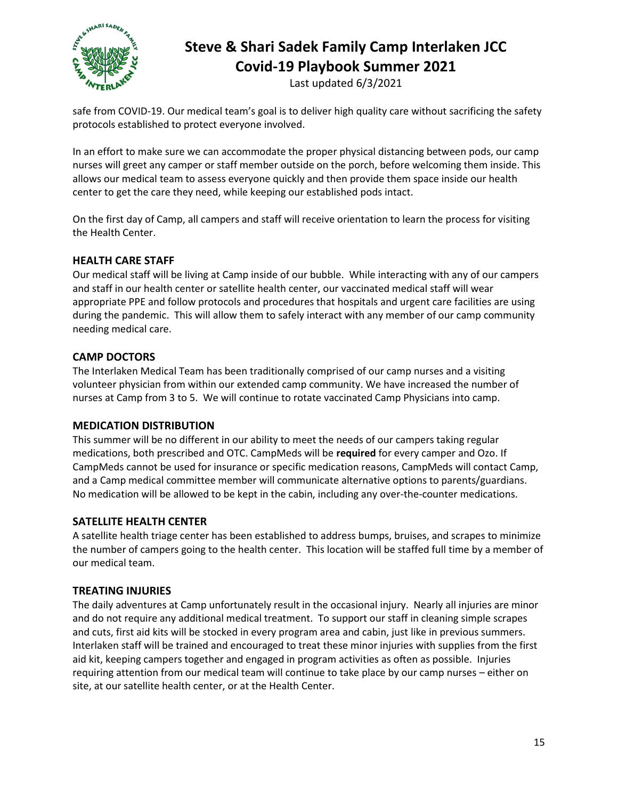

Last updated 6/3/2021

safe from COVID-19. Our medical team's goal is to deliver high quality care without sacrificing the safety protocols established to protect everyone involved.

In an effort to make sure we can accommodate the proper physical distancing between pods, our camp nurses will greet any camper or staff member outside on the porch, before welcoming them inside. This allows our medical team to assess everyone quickly and then provide them space inside our health center to get the care they need, while keeping our established pods intact.

On the first day of Camp, all campers and staff will receive orientation to learn the process for visiting the Health Center.

### **HEALTH CARE STAFF**

Our medical staff will be living at Camp inside of our bubble. While interacting with any of our campers and staff in our health center or satellite health center, our vaccinated medical staff will wear appropriate PPE and follow protocols and procedures that hospitals and urgent care facilities are using during the pandemic. This will allow them to safely interact with any member of our camp community needing medical care.

#### **CAMP DOCTORS**

The Interlaken Medical Team has been traditionally comprised of our camp nurses and a visiting volunteer physician from within our extended camp community. We have increased the number of nurses at Camp from 3 to 5. We will continue to rotate vaccinated Camp Physicians into camp.

#### **MEDICATION DISTRIBUTION**

This summer will be no different in our ability to meet the needs of our campers taking regular medications, both prescribed and OTC. CampMeds will be **required** for every camper and Ozo. If CampMeds cannot be used for insurance or specific medication reasons, CampMeds will contact Camp, and a Camp medical committee member will communicate alternative options to parents/guardians. No medication will be allowed to be kept in the cabin, including any over-the-counter medications.

#### **SATELLITE HEALTH CENTER**

A satellite health triage center has been established to address bumps, bruises, and scrapes to minimize the number of campers going to the health center. This location will be staffed full time by a member of our medical team.

#### **TREATING INJURIES**

The daily adventures at Camp unfortunately result in the occasional injury. Nearly all injuries are minor and do not require any additional medical treatment. To support our staff in cleaning simple scrapes and cuts, first aid kits will be stocked in every program area and cabin, just like in previous summers. Interlaken staff will be trained and encouraged to treat these minor injuries with supplies from the first aid kit, keeping campers together and engaged in program activities as often as possible. Injuries requiring attention from our medical team will continue to take place by our camp nurses – either on site, at our satellite health center, or at the Health Center.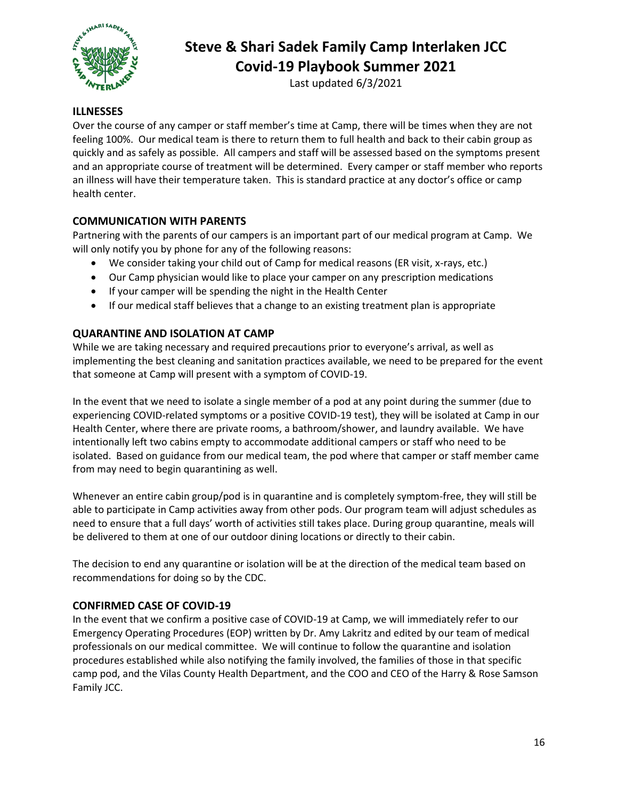

Last updated 6/3/2021

#### **ILLNESSES**

Over the course of any camper or staff member's time at Camp, there will be times when they are not feeling 100%. Our medical team is there to return them to full health and back to their cabin group as quickly and as safely as possible. All campers and staff will be assessed based on the symptoms present and an appropriate course of treatment will be determined. Every camper or staff member who reports an illness will have their temperature taken. This is standard practice at any doctor's office or camp health center.

### **COMMUNICATION WITH PARENTS**

Partnering with the parents of our campers is an important part of our medical program at Camp. We will only notify you by phone for any of the following reasons:

- We consider taking your child out of Camp for medical reasons (ER visit, x-rays, etc.)
- Our Camp physician would like to place your camper on any prescription medications
- If your camper will be spending the night in the Health Center
- If our medical staff believes that a change to an existing treatment plan is appropriate

### **QUARANTINE AND ISOLATION AT CAMP**

While we are taking necessary and required precautions prior to everyone's arrival, as well as implementing the best cleaning and sanitation practices available, we need to be prepared for the event that someone at Camp will present with a symptom of COVID-19.

In the event that we need to isolate a single member of a pod at any point during the summer (due to experiencing COVID-related symptoms or a positive COVID-19 test), they will be isolated at Camp in our Health Center, where there are private rooms, a bathroom/shower, and laundry available. We have intentionally left two cabins empty to accommodate additional campers or staff who need to be isolated. Based on guidance from our medical team, the pod where that camper or staff member came from may need to begin quarantining as well.

Whenever an entire cabin group/pod is in quarantine and is completely symptom-free, they will still be able to participate in Camp activities away from other pods. Our program team will adjust schedules as need to ensure that a full days' worth of activities still takes place. During group quarantine, meals will be delivered to them at one of our outdoor dining locations or directly to their cabin.

The decision to end any quarantine or isolation will be at the direction of the medical team based on recommendations for doing so by the CDC.

#### **CONFIRMED CASE OF COVID-19**

In the event that we confirm a positive case of COVID-19 at Camp, we will immediately refer to our Emergency Operating Procedures (EOP) written by Dr. Amy Lakritz and edited by our team of medical professionals on our medical committee. We will continue to follow the quarantine and isolation procedures established while also notifying the family involved, the families of those in that specific camp pod, and the Vilas County Health Department, and the COO and CEO of the Harry & Rose Samson Family JCC.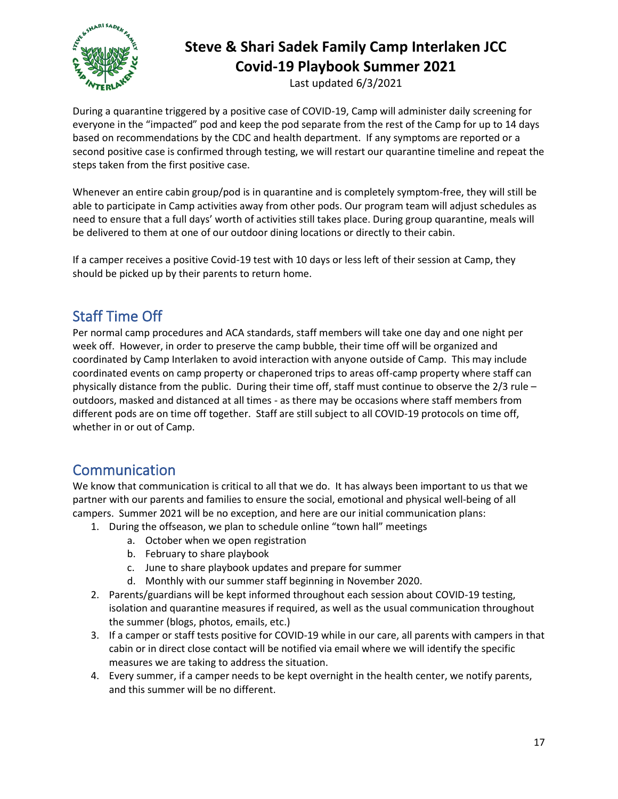

Last updated 6/3/2021

During a quarantine triggered by a positive case of COVID-19, Camp will administer daily screening for everyone in the "impacted" pod and keep the pod separate from the rest of the Camp for up to 14 days based on recommendations by the CDC and health department. If any symptoms are reported or a second positive case is confirmed through testing, we will restart our quarantine timeline and repeat the steps taken from the first positive case.

Whenever an entire cabin group/pod is in quarantine and is completely symptom-free, they will still be able to participate in Camp activities away from other pods. Our program team will adjust schedules as need to ensure that a full days' worth of activities still takes place. During group quarantine, meals will be delivered to them at one of our outdoor dining locations or directly to their cabin.

If a camper receives a positive Covid-19 test with 10 days or less left of their session at Camp, they should be picked up by their parents to return home.

# <span id="page-16-0"></span>Staff Time Off

Per normal camp procedures and ACA standards, staff members will take one day and one night per week off. However, in order to preserve the camp bubble, their time off will be organized and coordinated by Camp Interlaken to avoid interaction with anyone outside of Camp. This may include coordinated events on camp property or chaperoned trips to areas off-camp property where staff can physically distance from the public. During their time off, staff must continue to observe the 2/3 rule – outdoors, masked and distanced at all times - as there may be occasions where staff members from different pods are on time off together. Staff are still subject to all COVID-19 protocols on time off, whether in or out of Camp.

### <span id="page-16-1"></span>**Communication**

We know that communication is critical to all that we do. It has always been important to us that we partner with our parents and families to ensure the social, emotional and physical well-being of all campers. Summer 2021 will be no exception, and here are our initial communication plans:

- 1. During the offseason, we plan to schedule online "town hall" meetings
	- a. October when we open registration
	- b. February to share playbook
	- c. June to share playbook updates and prepare for summer
	- d. Monthly with our summer staff beginning in November 2020.
- 2. Parents/guardians will be kept informed throughout each session about COVID-19 testing, isolation and quarantine measures if required, as well as the usual communication throughout the summer (blogs, photos, emails, etc.)
- 3. If a camper or staff tests positive for COVID-19 while in our care, all parents with campers in that cabin or in direct close contact will be notified via email where we will identify the specific measures we are taking to address the situation.
- 4. Every summer, if a camper needs to be kept overnight in the health center, we notify parents, and this summer will be no different.